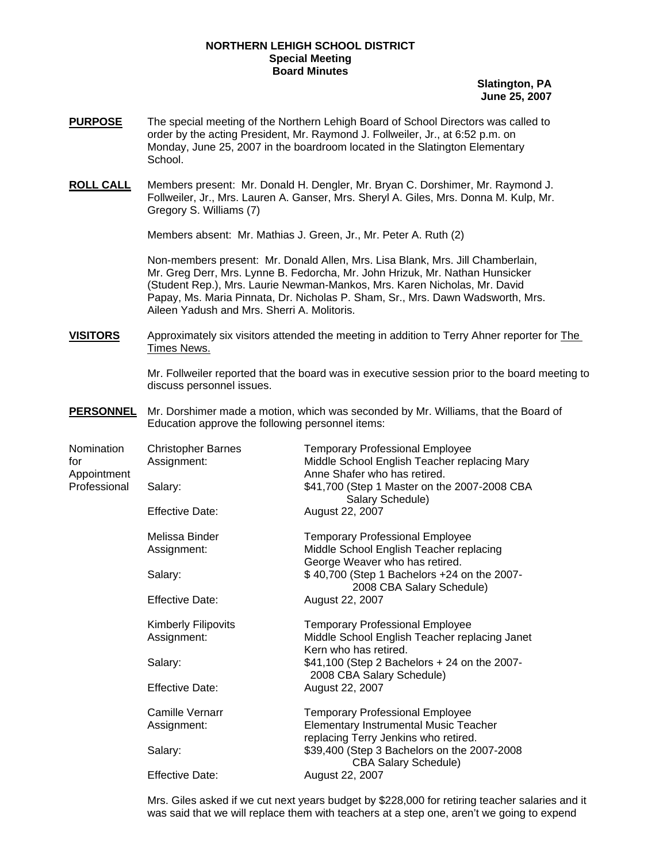## **NORTHERN LEHIGH SCHOOL DISTRICT Special Meeting Board Minutes**

**Slatington, PA June 25, 2007**

- **PURPOSE** The special meeting of the Northern Lehigh Board of School Directors was called to order by the acting President, Mr. Raymond J. Follweiler, Jr., at 6:52 p.m. on Monday, June 25, 2007 in the boardroom located in the Slatington Elementary School.
- **ROLL CALL** Members present: Mr. Donald H. Dengler, Mr. Bryan C. Dorshimer, Mr. Raymond J. Follweiler, Jr., Mrs. Lauren A. Ganser, Mrs. Sheryl A. Giles, Mrs. Donna M. Kulp, Mr. Gregory S. Williams (7)

Members absent: Mr. Mathias J. Green, Jr., Mr. Peter A. Ruth (2)

Non-members present: Mr. Donald Allen, Mrs. Lisa Blank, Mrs. Jill Chamberlain, Mr. Greg Derr, Mrs. Lynne B. Fedorcha, Mr. John Hrizuk, Mr. Nathan Hunsicker (Student Rep.), Mrs. Laurie Newman-Mankos, Mrs. Karen Nicholas, Mr. David Papay, Ms. Maria Pinnata, Dr. Nicholas P. Sham, Sr., Mrs. Dawn Wadsworth, Mrs. Aileen Yadush and Mrs. Sherri A. Molitoris.

**VISITORS** Approximately six visitors attended the meeting in addition to Terry Ahner reporter for The Times News.

> Mr. Follweiler reported that the board was in executive session prior to the board meeting to discuss personnel issues.

**PERSONNEL** Mr. Dorshimer made a motion, which was seconded by Mr. Williams, that the Board of Education approve the following personnel items:

| Nomination<br>for<br>Appointment<br>Professional | <b>Christopher Barnes</b><br>Assignment:  | <b>Temporary Professional Employee</b><br>Middle School English Teacher replacing Mary<br>Anne Shafer who has retired.         |
|--------------------------------------------------|-------------------------------------------|--------------------------------------------------------------------------------------------------------------------------------|
|                                                  | Salary:                                   | \$41,700 (Step 1 Master on the 2007-2008 CBA<br>Salary Schedule)                                                               |
|                                                  | <b>Effective Date:</b>                    | August 22, 2007                                                                                                                |
|                                                  | Melissa Binder<br>Assignment:             | <b>Temporary Professional Employee</b><br>Middle School English Teacher replacing<br>George Weaver who has retired.            |
|                                                  | Salary:                                   | \$40,700 (Step 1 Bachelors +24 on the 2007-<br>2008 CBA Salary Schedule)                                                       |
|                                                  | <b>Effective Date:</b>                    | August 22, 2007                                                                                                                |
|                                                  | <b>Kimberly Filipovits</b><br>Assignment: | <b>Temporary Professional Employee</b><br>Middle School English Teacher replacing Janet<br>Kern who has retired.               |
|                                                  | Salary:                                   | \$41,100 (Step 2 Bachelors + 24 on the 2007-<br>2008 CBA Salary Schedule)                                                      |
|                                                  | <b>Effective Date:</b>                    | August 22, 2007                                                                                                                |
|                                                  | Camille Vernarr<br>Assignment:            | <b>Temporary Professional Employee</b><br><b>Elementary Instrumental Music Teacher</b><br>replacing Terry Jenkins who retired. |
|                                                  | Salary:                                   | \$39,400 (Step 3 Bachelors on the 2007-2008<br><b>CBA Salary Schedule)</b>                                                     |
|                                                  | Effective Date:                           | August 22, 2007                                                                                                                |

 Mrs. Giles asked if we cut next years budget by \$228,000 for retiring teacher salaries and it was said that we will replace them with teachers at a step one, aren't we going to expend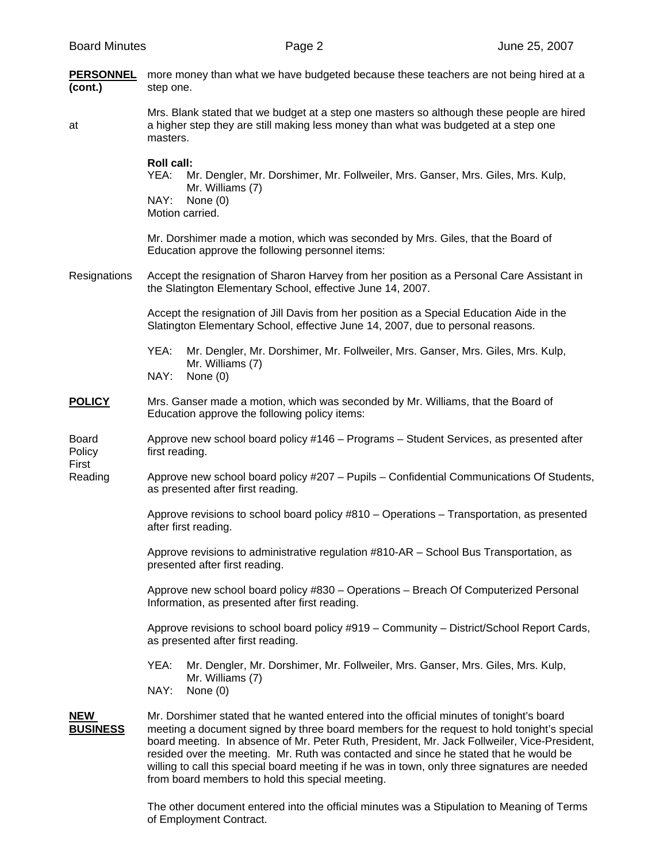| <b>PERSONNEL</b><br>(cont.)     | more money than what we have budgeted because these teachers are not being hired at a<br>step one.                                                                                                                                                                                                                                                                                                                                                                                                                                    |  |
|---------------------------------|---------------------------------------------------------------------------------------------------------------------------------------------------------------------------------------------------------------------------------------------------------------------------------------------------------------------------------------------------------------------------------------------------------------------------------------------------------------------------------------------------------------------------------------|--|
| at                              | Mrs. Blank stated that we budget at a step one masters so although these people are hired<br>a higher step they are still making less money than what was budgeted at a step one<br>masters.                                                                                                                                                                                                                                                                                                                                          |  |
|                                 | <b>Roll call:</b><br>Mr. Dengler, Mr. Dorshimer, Mr. Follweiler, Mrs. Ganser, Mrs. Giles, Mrs. Kulp,<br>YEA:<br>Mr. Williams (7)<br>NAY:<br>None $(0)$<br>Motion carried.                                                                                                                                                                                                                                                                                                                                                             |  |
|                                 | Mr. Dorshimer made a motion, which was seconded by Mrs. Giles, that the Board of<br>Education approve the following personnel items:                                                                                                                                                                                                                                                                                                                                                                                                  |  |
| Resignations                    | Accept the resignation of Sharon Harvey from her position as a Personal Care Assistant in<br>the Slatington Elementary School, effective June 14, 2007.                                                                                                                                                                                                                                                                                                                                                                               |  |
|                                 | Accept the resignation of Jill Davis from her position as a Special Education Aide in the<br>Slatington Elementary School, effective June 14, 2007, due to personal reasons.                                                                                                                                                                                                                                                                                                                                                          |  |
|                                 | YEA:<br>Mr. Dengler, Mr. Dorshimer, Mr. Follweiler, Mrs. Ganser, Mrs. Giles, Mrs. Kulp,<br>Mr. Williams (7)<br>NAY:<br>None $(0)$                                                                                                                                                                                                                                                                                                                                                                                                     |  |
| <b>POLICY</b>                   | Mrs. Ganser made a motion, which was seconded by Mr. Williams, that the Board of<br>Education approve the following policy items:                                                                                                                                                                                                                                                                                                                                                                                                     |  |
| <b>Board</b><br>Policy<br>First | Approve new school board policy #146 - Programs - Student Services, as presented after<br>first reading.                                                                                                                                                                                                                                                                                                                                                                                                                              |  |
| Reading                         | Approve new school board policy #207 - Pupils - Confidential Communications Of Students,<br>as presented after first reading.                                                                                                                                                                                                                                                                                                                                                                                                         |  |
|                                 | Approve revisions to school board policy #810 - Operations - Transportation, as presented<br>after first reading.                                                                                                                                                                                                                                                                                                                                                                                                                     |  |
|                                 | Approve revisions to administrative regulation #810-AR - School Bus Transportation, as<br>presented after first reading.                                                                                                                                                                                                                                                                                                                                                                                                              |  |
|                                 | Approve new school board policy #830 - Operations - Breach Of Computerized Personal<br>Information, as presented after first reading.                                                                                                                                                                                                                                                                                                                                                                                                 |  |
|                                 | Approve revisions to school board policy #919 - Community - District/School Report Cards,<br>as presented after first reading.                                                                                                                                                                                                                                                                                                                                                                                                        |  |
|                                 | YEA:<br>Mr. Dengler, Mr. Dorshimer, Mr. Follweiler, Mrs. Ganser, Mrs. Giles, Mrs. Kulp,<br>Mr. Williams (7)<br>NAY:<br>None $(0)$                                                                                                                                                                                                                                                                                                                                                                                                     |  |
| <b>NEW</b><br><b>BUSINESS</b>   | Mr. Dorshimer stated that he wanted entered into the official minutes of tonight's board<br>meeting a document signed by three board members for the request to hold tonight's special<br>board meeting. In absence of Mr. Peter Ruth, President, Mr. Jack Follweiler, Vice-President,<br>resided over the meeting. Mr. Ruth was contacted and since he stated that he would be<br>willing to call this special board meeting if he was in town, only three signatures are needed<br>from board members to hold this special meeting. |  |

 The other document entered into the official minutes was a Stipulation to Meaning of Terms of Employment Contract.